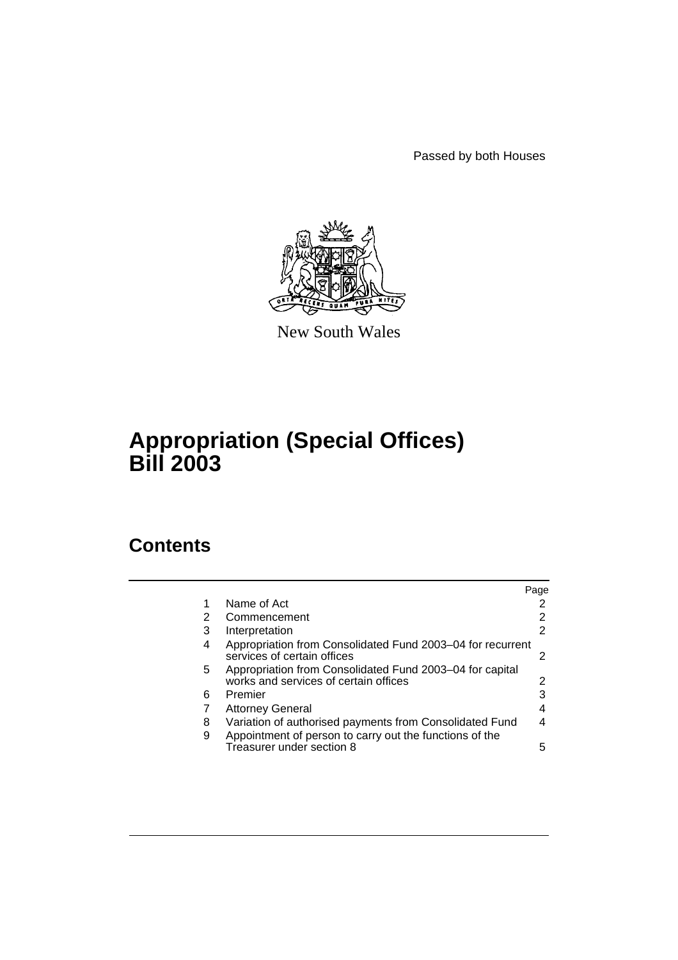Passed by both Houses



New South Wales

# **Appropriation (Special Offices) Bill 2003**

# **Contents**

|    |                                                                                                   | Page |
|----|---------------------------------------------------------------------------------------------------|------|
| 1  | Name of Act                                                                                       |      |
| 2  | Commencement                                                                                      | 2    |
| 3  | Interpretation                                                                                    | 2    |
| 4  | Appropriation from Consolidated Fund 2003–04 for recurrent<br>services of certain offices         |      |
| 5. | Appropriation from Consolidated Fund 2003–04 for capital<br>works and services of certain offices | 2    |
| 6  | Premier                                                                                           | 3    |
|    | <b>Attorney General</b>                                                                           |      |
| 8  | Variation of authorised payments from Consolidated Fund                                           |      |
| 9  | Appointment of person to carry out the functions of the<br>Treasurer under section 8              | 5    |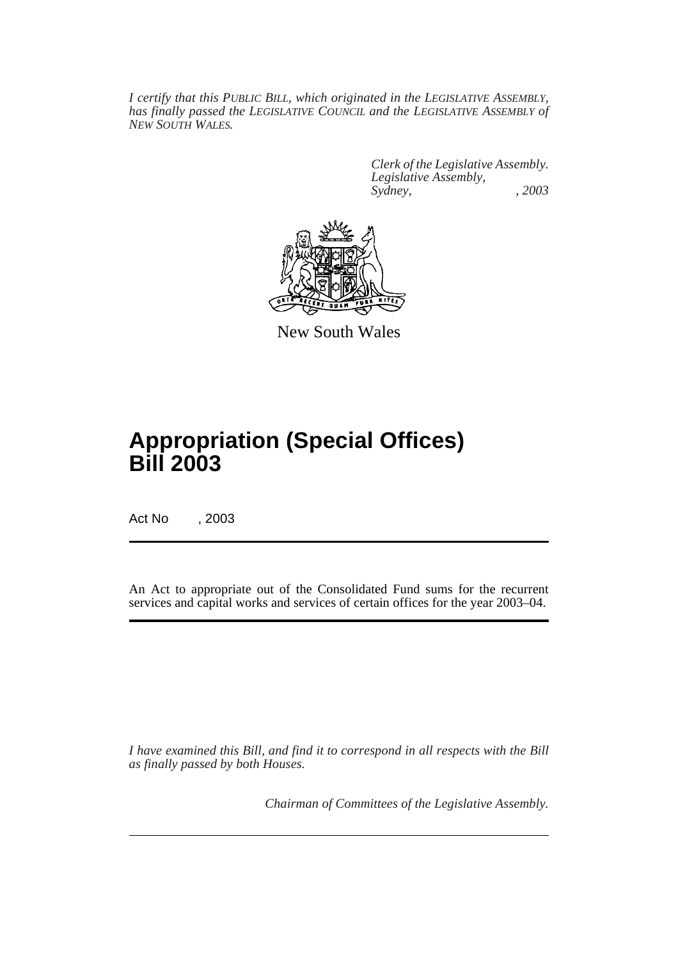*I certify that this PUBLIC BILL, which originated in the LEGISLATIVE ASSEMBLY, has finally passed the LEGISLATIVE COUNCIL and the LEGISLATIVE ASSEMBLY of NEW SOUTH WALES.*

> *Clerk of the Legislative Assembly. Legislative Assembly, Sydney, , 2003*



New South Wales

# **Appropriation (Special Offices) Bill 2003**

Act No , 2003

An Act to appropriate out of the Consolidated Fund sums for the recurrent services and capital works and services of certain offices for the year 2003–04.

*I have examined this Bill, and find it to correspond in all respects with the Bill as finally passed by both Houses.*

*Chairman of Committees of the Legislative Assembly.*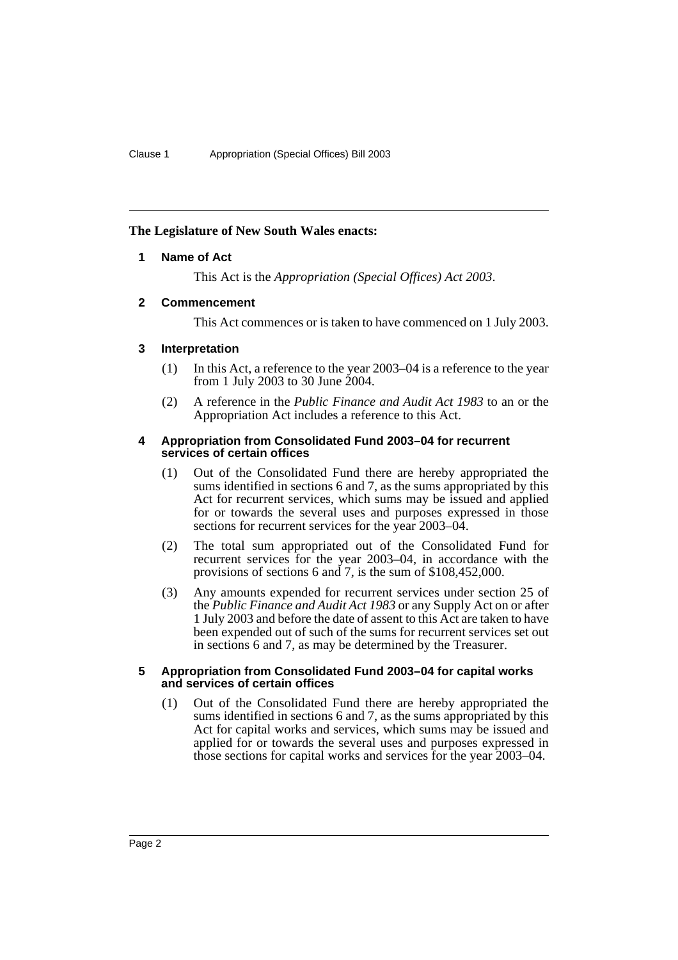## <span id="page-2-0"></span>**The Legislature of New South Wales enacts:**

## **1 Name of Act**

This Act is the *Appropriation (Special Offices) Act 2003*.

## <span id="page-2-1"></span>**2 Commencement**

This Act commences or is taken to have commenced on 1 July 2003.

## <span id="page-2-2"></span>**3 Interpretation**

- (1) In this Act, a reference to the year 2003–04 is a reference to the year from 1 July 2003 to 30 June 2004.
- (2) A reference in the *Public Finance and Audit Act 1983* to an or the Appropriation Act includes a reference to this Act.

#### <span id="page-2-3"></span>**4 Appropriation from Consolidated Fund 2003–04 for recurrent services of certain offices**

- (1) Out of the Consolidated Fund there are hereby appropriated the sums identified in sections 6 and 7, as the sums appropriated by this Act for recurrent services, which sums may be issued and applied for or towards the several uses and purposes expressed in those sections for recurrent services for the year 2003–04.
- (2) The total sum appropriated out of the Consolidated Fund for recurrent services for the year 2003–04, in accordance with the provisions of sections 6 and 7, is the sum of \$108,452,000.
- (3) Any amounts expended for recurrent services under section 25 of the *Public Finance and Audit Act 1983* or any Supply Act on or after 1 July 2003 and before the date of assent to this Act are taken to have been expended out of such of the sums for recurrent services set out in sections 6 and 7, as may be determined by the Treasurer.

### <span id="page-2-4"></span>**5 Appropriation from Consolidated Fund 2003–04 for capital works and services of certain offices**

(1) Out of the Consolidated Fund there are hereby appropriated the sums identified in sections 6 and 7, as the sums appropriated by this Act for capital works and services, which sums may be issued and applied for or towards the several uses and purposes expressed in those sections for capital works and services for the year 2003–04.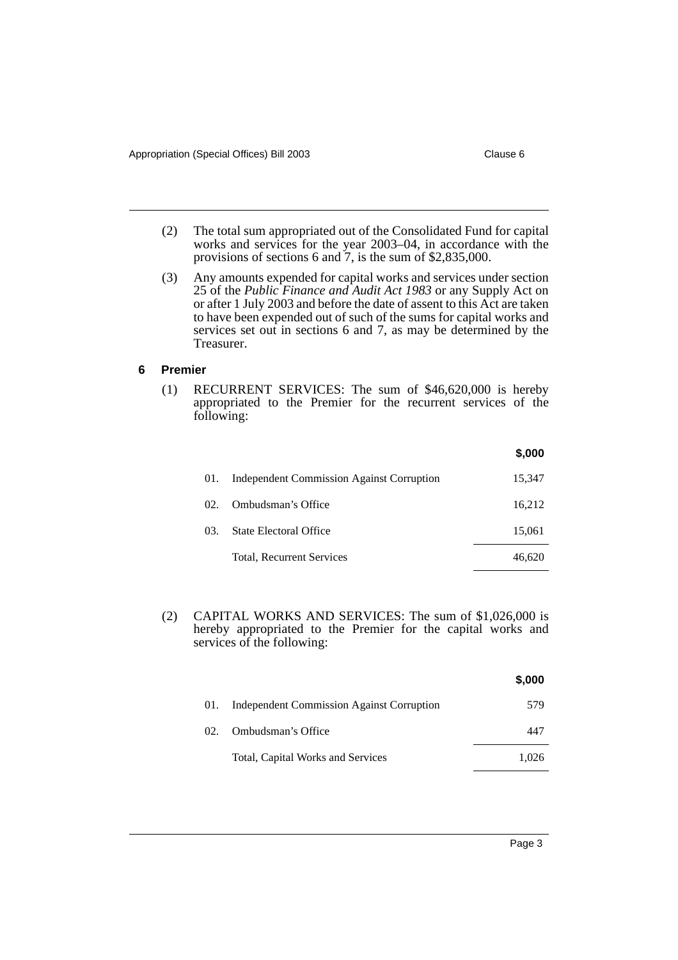- (2) The total sum appropriated out of the Consolidated Fund for capital works and services for the year 2003–04, in accordance with the provisions of sections 6 and 7, is the sum of \$2,835,000.
- (3) Any amounts expended for capital works and services under section 25 of the *Public Finance and Audit Act 1983* or any Supply Act on or after 1 July 2003 and before the date of assent to this Act are taken to have been expended out of such of the sums for capital works and services set out in sections 6 and 7, as may be determined by the Treasurer.

#### <span id="page-3-0"></span>**6 Premier**

(1) RECURRENT SERVICES: The sum of \$46,620,000 is hereby appropriated to the Premier for the recurrent services of the following:

|     |                                                  | \$,000 |
|-----|--------------------------------------------------|--------|
| 01. | <b>Independent Commission Against Corruption</b> | 15,347 |
| 02. | Ombudsman's Office                               | 16,212 |
| 03. | State Electoral Office                           | 15,061 |
|     | Total, Recurrent Services                        | 46.620 |

(2) CAPITAL WORKS AND SERVICES: The sum of \$1,026,000 is hereby appropriated to the Premier for the capital works and services of the following:

|     |                                                  | \$,000 |
|-----|--------------------------------------------------|--------|
| 01. | <b>Independent Commission Against Corruption</b> | 579    |
| 02. | Ombudsman's Office                               | 447    |
|     | Total, Capital Works and Services                | 1.026  |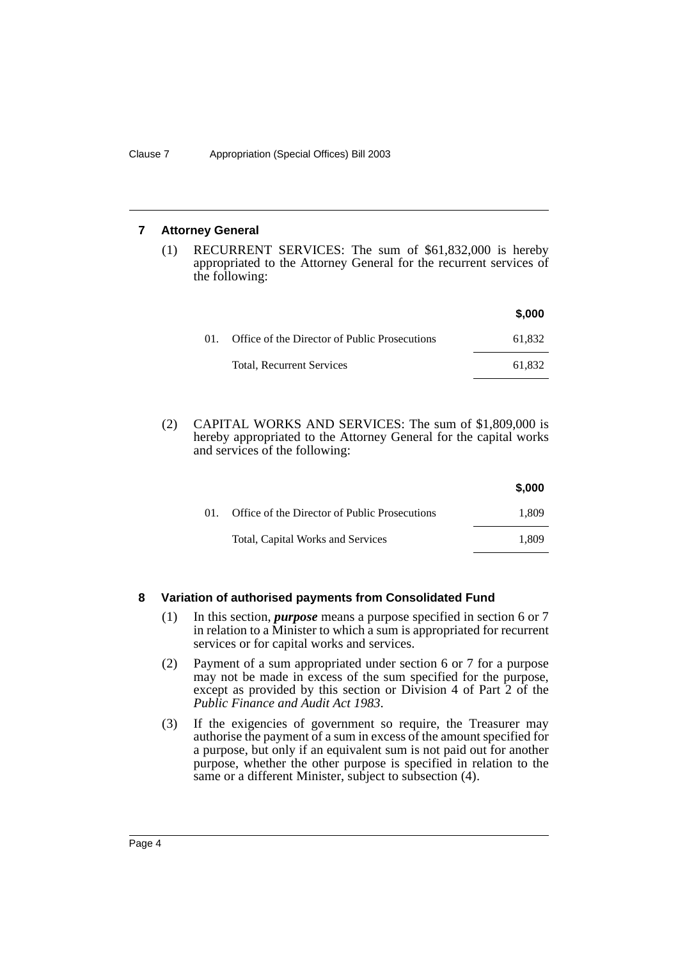### <span id="page-4-0"></span>**7 Attorney General**

(1) RECURRENT SERVICES: The sum of \$61,832,000 is hereby appropriated to the Attorney General for the recurrent services of the following:

|        |                                               | \$,000 |
|--------|-----------------------------------------------|--------|
| $01$ . | Office of the Director of Public Prosecutions | 61.832 |
|        | <b>Total, Recurrent Services</b>              | 61.832 |

(2) CAPITAL WORKS AND SERVICES: The sum of \$1,809,000 is hereby appropriated to the Attorney General for the capital works and services of the following:

| \$,000 |
|--------|
| 1.809  |
| 1.809  |
|        |

### <span id="page-4-1"></span>**8 Variation of authorised payments from Consolidated Fund**

- (1) In this section, *purpose* means a purpose specified in section 6 or 7 in relation to a Minister to which a sum is appropriated for recurrent services or for capital works and services.
- (2) Payment of a sum appropriated under section 6 or 7 for a purpose may not be made in excess of the sum specified for the purpose, except as provided by this section or Division 4 of Part 2 of the *Public Finance and Audit Act 1983*.
- (3) If the exigencies of government so require, the Treasurer may authorise the payment of a sum in excess of the amount specified for a purpose, but only if an equivalent sum is not paid out for another purpose, whether the other purpose is specified in relation to the same or a different Minister, subject to subsection (4).